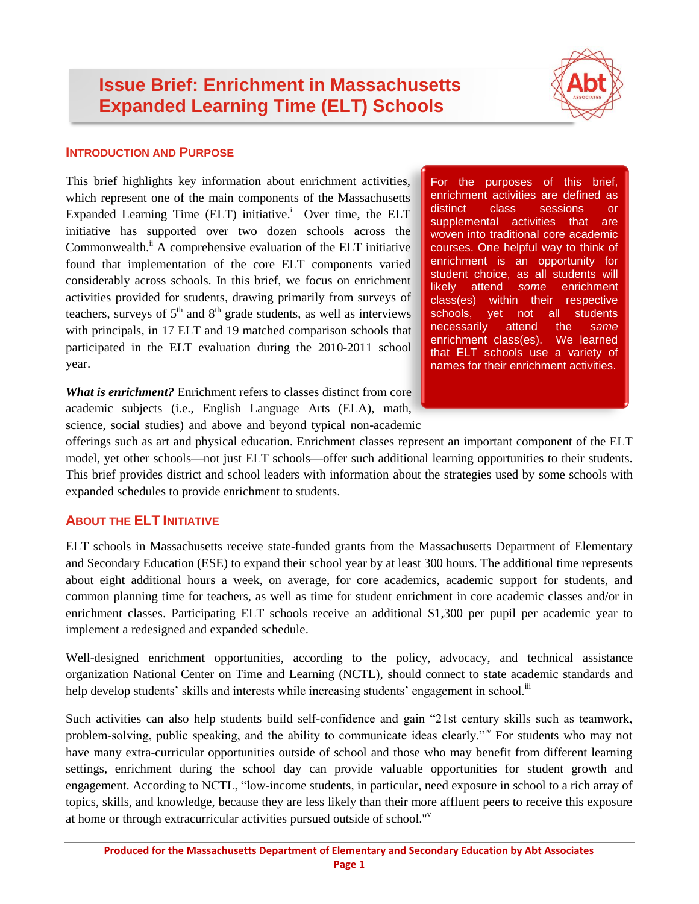# **Issue Brief: Enrichment in Massachusetts Expanded Learning Time (ELT) Schools**



#### **INTRODUCTION AND PURPOSE**

This brief highlights key information about enrichment activities, which represent one of the main components of the Massachusetts Expanded Learning Time (ELT) initiative.<sup>i</sup> Over time, the ELT initiative has supported over two dozen schools across the Commonwealth.<sup>ii</sup> A comprehensive evaluation of the ELT initiative found that implementation of the core ELT components varied considerably across schools. In this brief, we focus on enrichment activities provided for students, drawing primarily from surveys of teachers, surveys of  $5<sup>th</sup>$  and  $8<sup>th</sup>$  grade students, as well as interviews with principals, in 17 ELT and 19 matched comparison schools that participated in the ELT evaluation during the 2010-2011 school year.

For the purposes of this brief, enrichment activities are defined as distinct class sessions or supplemental activities that are woven into traditional core academic courses. One helpful way to think of enrichment is an opportunity for student choice, as all students will likely attend *some* enrichment class(es) within their respective schools, yet not all students necessarily attend the *same* enrichment class(es). We learned that ELT schools use a variety of names for their enrichment activities.

*What is enrichment?* Enrichment refers to classes distinct from core academic subjects (i.e., English Language Arts (ELA), math, science, social studies) and above and beyond typical non-academic

offerings such as art and physical education. Enrichment classes represent an important component of the ELT model, yet other schools—not just ELT schools—offer such additional learning opportunities to their students. This brief provides district and school leaders with information about the strategies used by some schools with expanded schedules to provide enrichment to students.

## **ABOUT THE ELT INITIATIVE**

ELT schools in Massachusetts receive state-funded grants from the Massachusetts Department of Elementary and Secondary Education (ESE) to expand their school year by at least 300 hours. The additional time represents about eight additional hours a week, on average, for core academics, academic support for students, and common planning time for teachers, as well as time for student enrichment in core academic classes and/or in enrichment classes. Participating ELT schools receive an additional \$1,300 per pupil per academic year to implement a redesigned and expanded schedule.

Well-designed enrichment opportunities, according to the policy, advocacy, and technical assistance organization National Center on Time and Learning (NCTL), should connect to state academic standards and help develop students' skills and interests while increasing students' engagement in school.<sup>iii</sup>

Such activities can also help students build self-confidence and gain "21st century skills such as teamwork, problem-solving, public speaking, and the ability to communicate ideas clearly."iv For students who may not have many extra-curricular opportunities outside of school and those who may benefit from different learning settings, enrichment during the school day can provide valuable opportunities for student growth and engagement. According to NCTL, "low-income students, in particular, need exposure in school to a rich array of topics, skills, and knowledge, because they are less likely than their more affluent peers to receive this exposure at home or through extracurricular activities pursued outside of school."<sup>v</sup>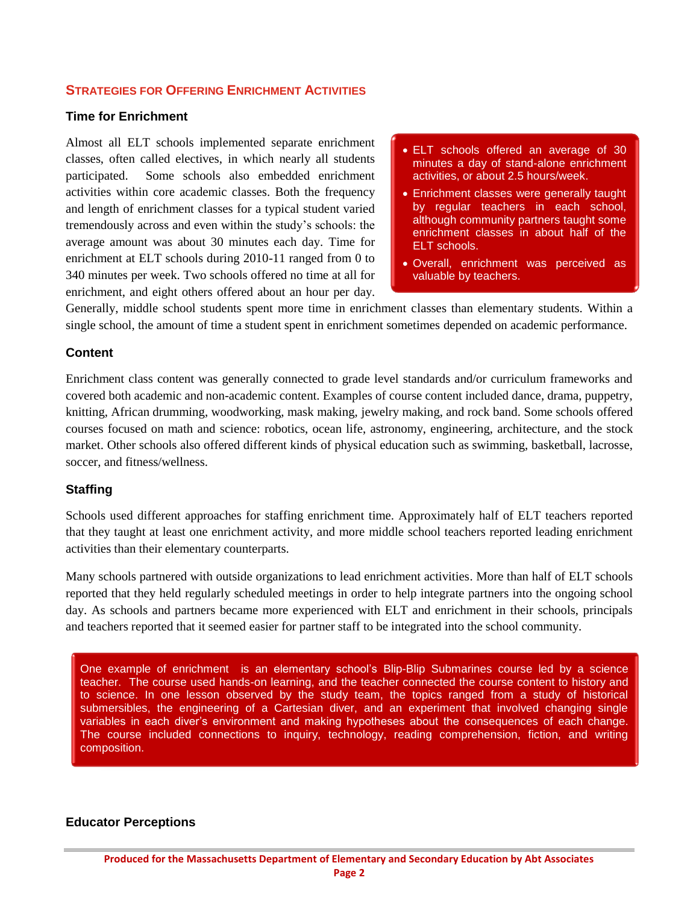### **STRATEGIES FOR OFFERING ENRICHMENT ACTIVITIES**

#### **Time for Enrichment**

Almost all ELT schools implemented separate enrichment classes, often called electives, in which nearly all students participated. Some schools also embedded enrichment activities within core academic classes. Both the frequency and length of enrichment classes for a typical student varied tremendously across and even within the study's schools: the average amount was about 30 minutes each day. Time for enrichment at ELT schools during 2010-11 ranged from 0 to 340 minutes per week. Two schools offered no time at all for enrichment, and eight others offered about an hour per day.

- ELT schools offered an average of 30 minutes a day of stand-alone enrichment activities, or about 2.5 hours/week.
- Enrichment classes were generally taught by regular teachers in each school, although community partners taught some enrichment classes in about half of the ELT schools.
- Overall, enrichment was perceived as valuable by teachers.

Generally, middle school students spent more time in enrichment classes than elementary students. Within a single school, the amount of time a student spent in enrichment sometimes depended on academic performance.

#### **Content**

Enrichment class content was generally connected to grade level standards and/or curriculum frameworks and covered both academic and non-academic content. Examples of course content included dance, drama, puppetry, knitting, African drumming, woodworking, mask making, jewelry making, and rock band. Some schools offered courses focused on math and science: robotics, ocean life, astronomy, engineering, architecture, and the stock market. Other schools also offered different kinds of physical education such as swimming, basketball, lacrosse, soccer, and fitness/wellness.

#### **Staffing**

Schools used different approaches for staffing enrichment time. Approximately half of ELT teachers reported that they taught at least one enrichment activity, and more middle school teachers reported leading enrichment activities than their elementary counterparts.

Many schools partnered with outside organizations to lead enrichment activities. More than half of ELT schools reported that they held regularly scheduled meetings in order to help integrate partners into the ongoing school day. As schools and partners became more experienced with ELT and enrichment in their schools, principals and teachers reported that it seemed easier for partner staff to be integrated into the school community.

One example of enrichment is an elementary school's Blip-Blip Submarines course led by a science teacher. The course used hands-on learning, and the teacher connected the course content to history and to science. In one lesson observed by the study team, the topics ranged from a study of historical submersibles, the engineering of a Cartesian diver, and an experiment that involved changing single variables in each diver's environment and making hypotheses about the consequences of each change. The course included connections to inquiry, technology, reading comprehension, fiction, and writing composition.

#### **Educator Perceptions**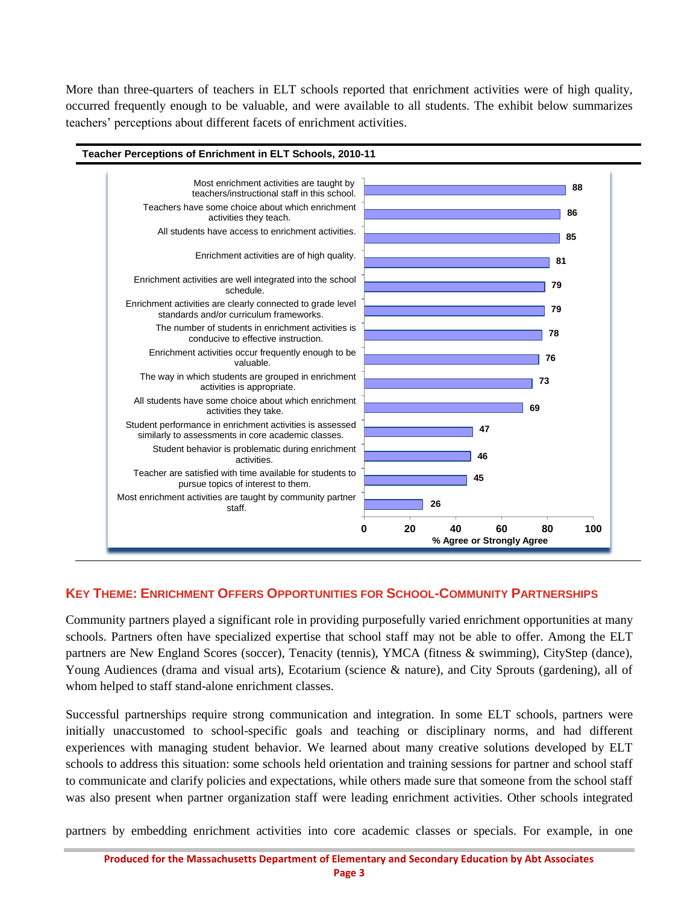More than three-quarters of teachers in ELT schools reported that enrichment activities were of high quality, occurred frequently enough to be valuable, and were available to all students. The exhibit below summarizes teachers' perceptions about different facets of enrichment activities.



## **KEY THEME: ENRICHMENT OFFERS OPPORTUNITIES FOR SCHOOL-COMMUNITY PARTNERSHIPS**

Community partners played a significant role in providing purposefully varied enrichment opportunities at many schools. Partners often have specialized expertise that school staff may not be able to offer. Among the ELT partners are New England Scores (soccer), Tenacity (tennis), YMCA (fitness & swimming), CityStep (dance), Young Audiences (drama and visual arts), Ecotarium (science & nature), and City Sprouts (gardening), all of whom helped to staff stand-alone enrichment classes.

Successful partnerships require strong communication and integration. In some ELT schools, partners were initially unaccustomed to school-specific goals and teaching or disciplinary norms, and had different experiences with managing student behavior. We learned about many creative solutions developed by ELT schools to address this situation: some schools held orientation and training sessions for partner and school staff to communicate and clarify policies and expectations, while others made sure that someone from the school staff was also present when partner organization staff were leading enrichment activities. Other schools integrated

partners by embedding enrichment activities into core academic classes or specials. For example, in one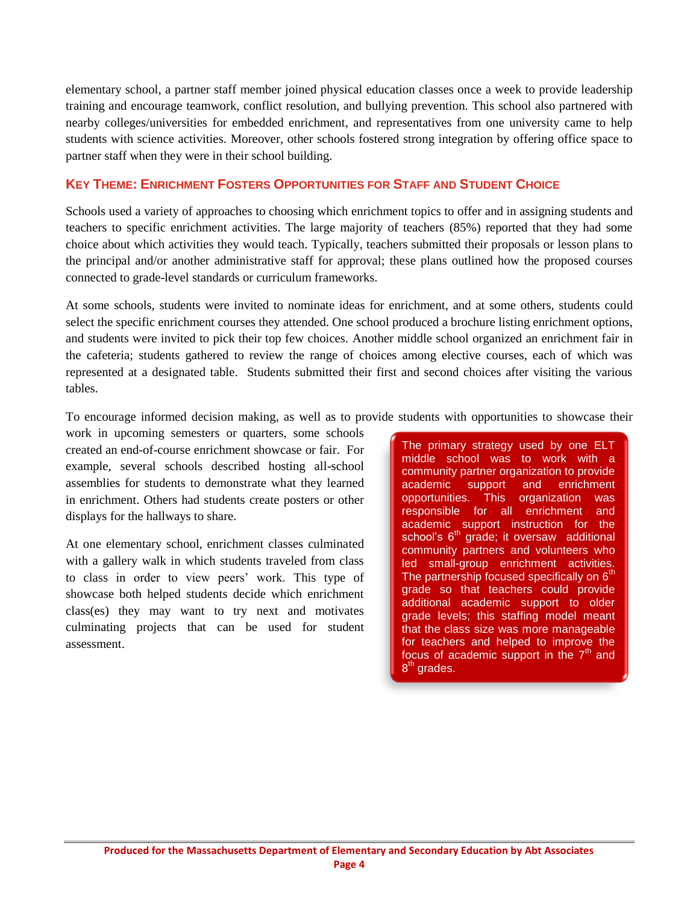elementary school, a partner staff member joined physical education classes once a week to provide leadership training and encourage teamwork, conflict resolution, and bullying prevention. This school also partnered with nearby colleges/universities for embedded enrichment, and representatives from one university came to help students with science activities. Moreover, other schools fostered strong integration by offering office space to partner staff when they were in their school building.

## **KEY THEME: ENRICHMENT FOSTERS OPPORTUNITIES FOR STAFF AND STUDENT CHOICE**

Schools used a variety of approaches to choosing which enrichment topics to offer and in assigning students and teachers to specific enrichment activities. The large majority of teachers (85%) reported that they had some choice about which activities they would teach. Typically, teachers submitted their proposals or lesson plans to the principal and/or another administrative staff for approval; these plans outlined how the proposed courses connected to grade-level standards or curriculum frameworks.

At some schools, students were invited to nominate ideas for enrichment, and at some others, students could select the specific enrichment courses they attended. One school produced a brochure listing enrichment options, and students were invited to pick their top few choices. Another middle school organized an enrichment fair in the cafeteria; students gathered to review the range of choices among elective courses, each of which was represented at a designated table. Students submitted their first and second choices after visiting the various tables.

To encourage informed decision making, as well as to provide students with opportunities to showcase their

work in upcoming semesters or quarters, some schools created an end-of-course enrichment showcase or fair. For example, several schools described hosting all-school assemblies for students to demonstrate what they learned in enrichment. Others had students create posters or other displays for the hallways to share.

At one elementary school, enrichment classes culminated with a gallery walk in which students traveled from class to class in order to view peers' work. This type of showcase both helped students decide which enrichment class(es) they may want to try next and motivates culminating projects that can be used for student assessment.

The primary strategy used by one ELT middle school was to work with a community partner organization to provide academic support and enrichment opportunities. This organization was responsible for all enrichment and academic support instruction for the school's  $6<sup>th</sup>$  grade; it oversaw additional community partners and volunteers who led small-group enrichment activities. The partnership focused specifically on  $6<sup>th</sup>$ grade so that teachers could provide additional academic support to older grade levels; this staffing model meant that the class size was more manageable for teachers and helped to improve the focus of academic support in the  $7<sup>th</sup>$  and 8<sup>th</sup> grades.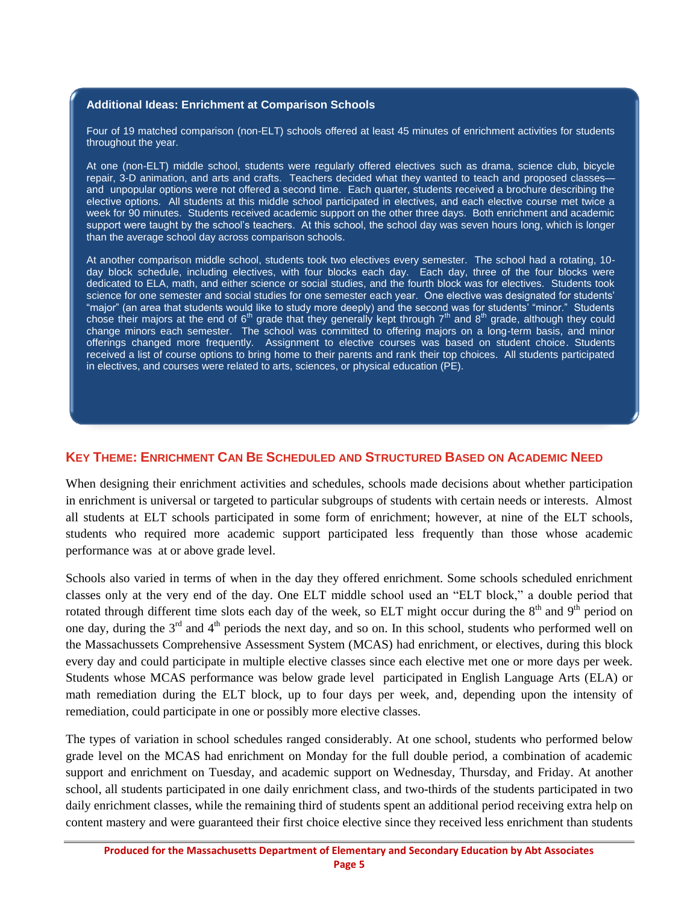#### **Additional Ideas: Enrichment at Comparison Schools**

Four of 19 matched comparison (non-ELT) schools offered at least 45 minutes of enrichment activities for students throughout the year.

At one (non-ELT) middle school, students were regularly offered electives such as drama, science club, bicycle repair, 3-D animation, and arts and crafts. Teachers decided what they wanted to teach and proposed classes and unpopular options were not offered a second time. Each quarter, students received a brochure describing the elective options. All students at this middle school participated in electives, and each elective course met twice a week for 90 minutes. Students received academic support on the other three days. Both enrichment and academic support were taught by the school's teachers. At this school, the school day was seven hours long, which is longer than the average school day across comparison schools.

At another comparison middle school, students took two electives every semester. The school had a rotating, 10 day block schedule, including electives, with four blocks each day. Each day, three of the four blocks were dedicated to ELA, math, and either science or social studies, and the fourth block was for electives. Students took science for one semester and social studies for one semester each year. One elective was designated for students' "major" (an area that students would like to study more deeply) and the second was for students' "minor." Students chose their majors at the end of  $6<sup>th</sup>$  grade that they generally kept through  $7<sup>th</sup>$  and  $8<sup>th</sup>$  grade, although they could change minors each semester. The school was committed to offering majors on a long-term basis, and minor offerings changed more frequently. Assignment to elective courses was based on student choice. Students received a list of course options to bring home to their parents and rank their top choices. All students participated in electives, and courses were related to arts, sciences, or physical education (PE).

#### **KEY THEME: ENRICHMENT CAN BE SCHEDULED AND STRUCTURED BASED ON ACADEMIC NEED**

When designing their enrichment activities and schedules, schools made decisions about whether participation in enrichment is universal or targeted to particular subgroups of students with certain needs or interests. Almost all students at ELT schools participated in some form of enrichment; however, at nine of the ELT schools, students who required more academic support participated less frequently than those whose academic performance was at or above grade level.

Schools also varied in terms of when in the day they offered enrichment. Some schools scheduled enrichment classes only at the very end of the day. One ELT middle school used an "ELT block," a double period that rotated through different time slots each day of the week, so ELT might occur during the  $8<sup>th</sup>$  and  $9<sup>th</sup>$  period on one day, during the 3<sup>rd</sup> and 4<sup>th</sup> periods the next day, and so on. In this school, students who performed well on the Massachussets Comprehensive Assessment System (MCAS) had enrichment, or electives, during this block every day and could participate in multiple elective classes since each elective met one or more days per week. Students whose MCAS performance was below grade level participated in English Language Arts (ELA) or math remediation during the ELT block, up to four days per week, and, depending upon the intensity of remediation, could participate in one or possibly more elective classes.

The types of variation in school schedules ranged considerably. At one school, students who performed below grade level on the MCAS had enrichment on Monday for the full double period, a combination of academic support and enrichment on Tuesday, and academic support on Wednesday, Thursday, and Friday. At another school, all students participated in one daily enrichment class, and two-thirds of the students participated in two daily enrichment classes, while the remaining third of students spent an additional period receiving extra help on content mastery and were guaranteed their first choice elective since they received less enrichment than students